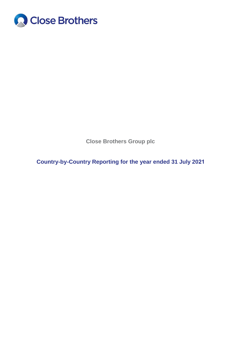

**Close Brothers Group plc**

**Country-by-Country Reporting for the year ended 31 July 2021**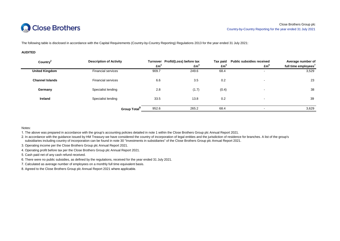

The following table is disclosed in accordance with the Capital Requirements (Country-by-Country Reporting) Regulations 2013 for the year ended 31 July 2021:

#### **AUDITED**

| Country                | <b>Description of Activity</b> | Em <sup>3</sup> | Turnover Profit/(Loss) before tax<br>Em <sup>4</sup> | Tax paid<br>Em <sup>3</sup> | <b>Public subsidies received</b><br>Em <sup>6</sup> | Average number of<br>full time employees' |
|------------------------|--------------------------------|-----------------|------------------------------------------------------|-----------------------------|-----------------------------------------------------|-------------------------------------------|
| <b>United Kingdom</b>  | <b>Financial services</b>      | 909.7           | 249.6                                                | 68.4                        |                                                     | 3,529                                     |
| <b>Channel Islands</b> | <b>Financial services</b>      | 6.6             | 3.5                                                  | 0.2                         |                                                     | 23                                        |
| Germany                | Specialist lending             | 2.8             | (1.7)                                                | (0.4)                       | $\overline{\phantom{0}}$                            | 38                                        |
| <b>Ireland</b>         | Specialist lending             | 33.5            | 13.8                                                 | 0.2                         | $\overline{\phantom{a}}$                            | 39                                        |
|                        | <b>Group Total</b>             | 952.6           | 265.2                                                | 68.4                        |                                                     | 3,629                                     |

Notes:

1. The above was prepared in accordance with the group's accounting policies detailed in note 1 within the Close Brothers Group plc Annual Report 2021.

2. In accordance with the guidance issued by HM Treasury we have considered the country of incorporation of legal entities and the jurisdiction of residence for branches. A list of the group's subsidiaries including country of incorporation can be found in note 30 "Investments in subsidiaries" of the Close Brothers Group plc Annual Report 2021.

3. Operating income per the Close Brothers Group plc Annual Report 2021.

4. Operating profit before tax per the Close Brothers Group plc Annual Report 2021.

5. Cash paid net of any cash refund received.

6. There were no public subsidies, as defined by the regulations, received for the year ended 31 July 2021.

7. Calculated as average number of employees on a monthly full time equivalent basis.

8. Agreed to the Close Brothers Group plc Annual Report 2021 where applicable.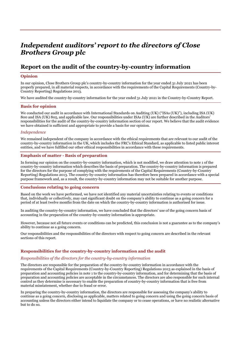# Independent auditors' report to the directors of Close Brothers Group plc

## Report on the audit of the country-by-country information

### Opinion

In our opinion, Close Brothers Group plc's country-by-country information for the year ended 31 July 2021 has been properly prepared, in all material respects, in accordance with the requirements of the Capital Requirements (Country-by-Country Reporting) Regulations 2013.

We have audited the country-by-country information for the year ended 31 July 2021 in the Country-by-Country Report.

#### Basis for opinion

We conducted our audit in accordance with International Standards on Auditing (UK) ("ISAs (UK)"), including ISA (UK) 800 and ISA (UK) 805, and applicable law. Our responsibilities under ISAs (UK) are further described in the Auditors' responsibilities for the audit of the country-by-country information section of our report. We believe that the audit evidence we have obtained is sufficient and appropriate to provide a basis for our opinion.

#### Independence

We remained independent of the company in accordance with the ethical requirements that are relevant to our audit of the country-by-country information in the UK, which includes the FRC's Ethical Standard, as applicable to listed public interest entities, and we have fulfilled our other ethical responsibilities in accordance with these requirements.

#### Emphasis of matter - Basis of preparation

In forming our opinion on the country-by-country information, which is not modified, we draw attention to note 1 of the country-by-country information which describes the basis of preparation. The country-by-country information is prepared for the directors for the purpose of complying with the requirements of the Capital Requirements (Country-by-Country Reporting) Regulations 2013. The country-by-country information has therefore been prepared in accordance with a special purpose framework and, as a result, the country-by-country information may not be suitable for another purpose.

#### Conclusions relating to going concern

Based on the work we have performed, we have not identified any material uncertainties relating to events or conditions that, individually or collectively, may cast significant doubt on the company's ability to continue as a going concern for a period of at least twelve months from the date on which the country-by-country information is authorised for issue.

In auditing the country-by-country information, we have concluded that the directors' use of the going concern basis of accounting in the preparation of the country-by-country information is appropriate.

However, because not all future events or conditions can be predicted, this conclusion is not a guarantee as to the company's ability to continue as a going concern.

Our responsibilities and the responsibilities of the directors with respect to going concern are described in the relevant sections of this report.

#### Responsibilities for the country-by-country information and the audit

#### Responsibilities of the directors for the country-by-country information

The directors are responsible for the preparation of the country-by-country information in accordance with the requirements of the Capital Requirements (Country-by-Country Reporting) Regulations 2013 as explained in the basis of preparation and accounting policies in note 1 to the country-by-country information, and for determining that the basis of preparation and accounting policies are acceptable in the circumstances. The directors are also responsible for such internal control as they determine is necessary to enable the preparation of country-by-country information that is free from material misstatement, whether due to fraud or error.

In preparing the country-by-country information, the directors are responsible for assessing the company's ability to continue as a going concern, disclosing as applicable, matters related to going concern and using the going concern basis of accounting unless the directors either intend to liquidate the company or to cease operations, or have no realistic alternative but to do so.